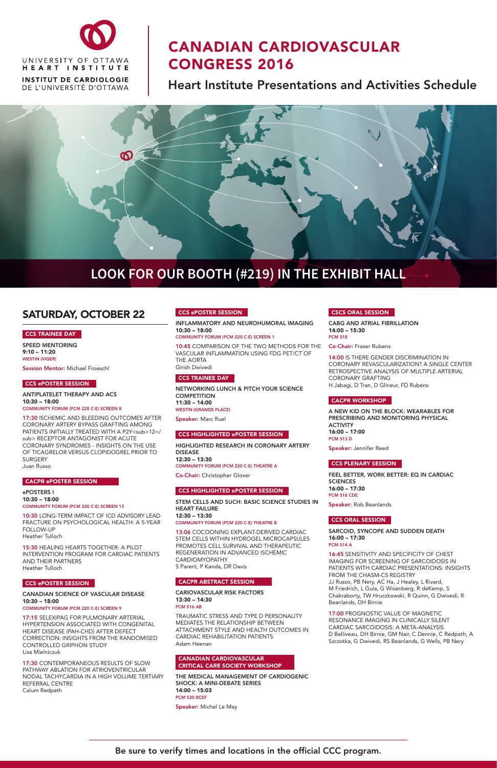## SATURDAY, OCTOBER 22

#### CCS TRAINEE DAY

SPEED MENTORING 9:10 – 11:20 WESTIN (VIGER)

Session Mentor: Michael Froeschl

#### CCS ePOSTER SESSION

ANTIPLATELET THERAPY AND ACS 10:30 – 18:00

COMMUNITY FORUM (PCM 220 C-E) SCREEN 8

17:30 ISCHEMIC AND BLEEDING OUTCOMES AFTER CORONARY ARTERY BYPASS GRAFTING AMONG PATIENTS INITIALLY TREATED WITH A P2Y<sub>12</ sub> RECEPTOR ANTAGONIST FOR ACUTE CORONARY SYNDROMES - INSIGHTS ON THE USE OF TICAGRELOR VERSUS CLOPIDOGREL PRIOR TO SURGERY Juan Russo

#### CACPR ePOSTER SESSION

ePOSTERS I 10:30 – 18:00 COMMUNITY FORUM (PCM 220 C-E) SCREEN 13

10:30 LONG-TERM IMPACT OF ICD ADVISORY LEAD FRACTURE ON PSYCHOLOGICAL HEALTH: A 5-YEAR FOLLOW-UP Heather Tulloch

15:30 HEALING HEARTS TOGETHER: A PILOT INTERVENTION PROGRAM FOR CARDIAC PATIENTS AND THEIR PARTNERS

#### CCS ePOSTER SESSION

#### CANADIAN SCIENCE OF VASCULAR DISEASE 10:30 – 18:00

COMMUNITY FORUM (PCM 220 C-E) SCREEN 9

17:15 SELEXIPAG FOR PULMONARY ARTERIAL HYPERTENSION ASSOCIATED WITH CONGENITAL HEART DISEASE (PAH-CHD) AFTER DEFECT CORRECTION: INSIGHTS FROM THE RANDOMISED CONTROLLED GRIPHON STUDY Lisa Mielniczuk

17:30 CONTEMPORANEOUS RESULTS OF SLOW PATHWAY ABLATION FOR ATRIOVENTRICULAR NODAL TACHYCARDIA IN A HIGH VOLUME TERTIARY REFERRAL CENTRE Calum Redpath

#### CCS ePOSTER SESSION

INFLAMMATORY AND NEUROHUMORAL IMAGING 10:30 – 18:00

COMMUNITY FORUM (PCM 220 C-E) SCREEN 1

10:45 COMPARISON OF THE TWO METHODS FOR THE VASCULAR INFLAMMATION USING FDG PET/CT OF THE AORTA Girish Dwivedi

#### CCS TRAINEE DAY

NETWORKING LUNCH & PITCH YOUR SCIENCE **COMPETITION** 11:30 – 14:00 WESTIN (GRANDE PLACE)

Speaker: Marc Ruel

#### CCS HIGHLIGHTED ePOSTER SESSION

HIGHLIGHTED RESEARCH IN CORONARY ARTERY DISEASE 12:30 – 13:30 COMMUNITY FORUM (PCM 220 C-E) THEATRE A

Co-Chair: Christopher Glover

#### CCS HIGHLIGHTED ePOSTER SESSION

STEM CELLS AND SUCH: BASIC SCIENCE STUDIES IN HEART FAILURE 12:30 – 13:30 COMMUNITY FORUM (PCM 220 C-E) THEATRE B

13:06 COCOONING EXPLANT-DERIVED CARDIAC STEM CELLS WITHIN HYDROGEL MICROCAPSULES PROMOTES CELL SURVIVAL AND THERAPEUTIC REGENERATION IN ADVANCED ISCHEMIC CARDIOMYOPATHY

S Parent, P Kanda, DR Davis

#### CACPR ABSTRACT SESSION

CARIOVASCULAR RISK FACTORS 13:30 – 14:30 PCM 516 AB

TRAUMATIC STRESS AND TYPE D PERSONALITY MEDIATES THE RELATIONSHIP BETWEEN ATTACHMENT STYLE AND HEALTH OUTCOMES IN CARDIAC REHABILITATION PATIENTS Adam Heenan

CANADIAN CARDIOVASCULAR CRITICAL CARE SOCIETY WORKSHOP

THE MEDICAL MANAGEMENT OF CARDIOGENIC SHOCK: A MINI-DEBATE SERIES 14:00 – 15:03 PCM 520 BCEF

Speaker: Michel Le May

#### CSCS ORAL SESSION

CABG AND ATRIAL FIBRILLATION 14:00 – 15:30 PCM 518

Co-Chair: Fraser Rubens

14:00 IS THERE GENDER DISCRIMINATION IN CORONARY REVASCULARIZATION? A SINGLE CENTER RETROSPECTIVE ANALYSIS OF MULTIPLE ARTERIAL CORONARY GRAFTING H Jabagi, D Tran, D Glineur, FD Rubens

#### CACPR WORKSHOP

A NEW KID ON THE BLOCK: WEARABLES FOR PRESCRIBING AND MONITORING PHYSICAL **ACTIVITY** 16:00 – 17:00 PCM 513 D

Speaker: Jennifer Reed

#### CCS PLENARY SESSION

FEEL BETTER, WORK BETTER: EQ IN CARDIAC **SCIENCES** 16:00 – 17:30 PCM 516 CDE

Speaker: Rob Beanlands

#### CCS ORAL SESSION

SARCOID, SYNCOPE AND SUDDEN DEATH 16:00 – 17:30 PCM 514 A

16:45 SENSITIVITY AND SPECIFICITY OF CHEST IMAGING FOR SCREENING OF SARCOIDOSIS IN

#### PATIENTS WITH CARDIAC PRESENTATIONS: INSIGHTS FROM THE CHASM-CS REGISTRY

JJ Russo, PB Nery, AC Ha, J Healey, L Rivard, M Friedrich, L Gula, G Wisenberg, R deKemp, S Chakraborty, TW Hruczkowski, R Quinn, G Dwivedi, R Beanlands, DH Birnie

17:00 PROGNOSTIC VALUE OF MAGNETIC RESONANCE IMAGING IN CLINICALLY SILENT CARDIAC SARCOIDOSIS: A META-ANALYSIS D Belliveau, DH Birnie, GM Nair, C Dennie, C Redpath, A Szczotka, G Dwivedi, RS Beanlands, G Wells, PB Nery



# CANADIAN CARDIOVASCULAR CONGRESS 2016

Heart Institute Presentations and Activities Schedule

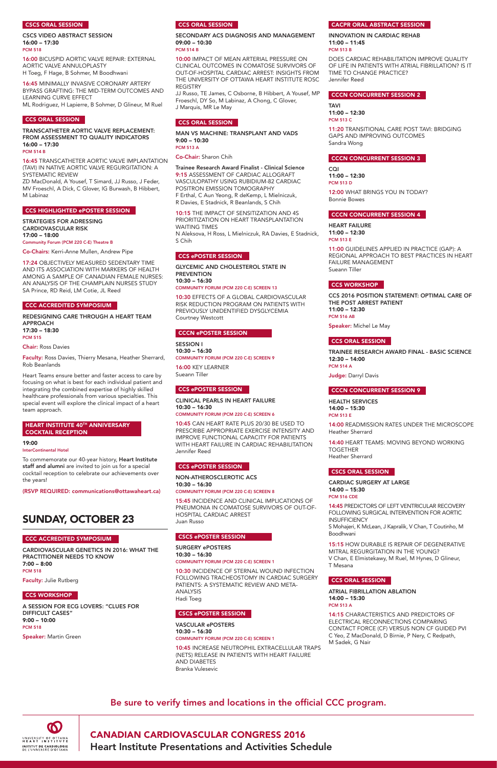

## CANADIAN CARDIOVASCULAR CONGRESS 2016

Heart Institute Presentations and Activities Schedule

#### CSCS ORAL SESSION

CSCS VIDEO ABSTRACT SESSION 16:00 – 17:30 PCM 518

16:00 BICUSPID AORTIC VALVE REPAIR: EXTERNAL AORTIC VALVE ANNULOPLASTY H Toeg, F Hage, B Sohmer, M Boodhwani

16:45 MINIMALLY INVASIVE CORONARY ARTERY BYPASS GRAFTING: THE MID-TERM OUTCOMES AND LEARNING CURVE EFFECT ML Rodriguez, H Lapierre, B Sohmer, D Glineur, M Ruel

#### CCS ORAL SESSION

TRANSCATHETER AORTIC VALVE REPLACEMENT: FROM ASSESSMENT TO QUALITY INDICATORS 16:00 – 17:30 PCM 514 B

16:45 TRANSCATHETER AORTIC VALVE IMPLANTATION

(TAVI) IN NATIVE AORTIC VALVE REGURGITATION: A SYSTEMATIC REVIEW ZD MacDonald, A Yousef, T Simard, JJ Russo, J Feder,

MV Froeschl, A Dick, C Glover, IG Burwash, B Hibbert, M Labinaz

#### CCS HIGHLIGHTED ePOSTER SESSION

#### HEART INSTITUTE 40TH ANNIVERSARY COCKTAIL RECEPTION

STRATEGIES FOR ADRESSING CARDIOVASCULAR RISK 17:00 – 18:00

Community Forum (PCM 220 C-E) Theatre B

Co-Chairs: Kerri-Anne Mullen, Andrew Pipe

17:24 OBJECTIVELY MEASURED SEDENTARY TIME AND ITS ASSOCIATION WITH MARKERS OF HEALTH AMONG A SAMPLE OF CANADIAN FEMALE NURSES: AN ANALYSIS OF THE CHAMPLAIN NURSES STUDY SA Prince, RD Reid, LM Cotie, JL Reed

#### **CCC ACCREDITED SYMPOSIUM**

REDESIGNING CARE THROUGH A HEART TEAM APPROACH 17:30 – 18:30 PCM 515

Chair: Ross Davies

Faculty: Ross Davies, Thierry Mesana, Heather Sherrard, Rob Beanlands

Heart Teams ensure better and faster access to care by focusing on what is best for each individual patient and integrating the combined expertise of highly skilled healthcare professionals from various specialties. This special event will explore the clinical impact of a heart team approach.

19:00 InterContinental Hotel

To commemorate our 40-year history, Heart Institute staff and alumni are invited to join us for a special cocktail reception to celebrate our achievements over the years!

(RSVP REQUIRED: communications@ottawaheart.ca)

## SUNDAY, OCTOBER 23

#### CCC ACCREDITED SYMPOSIUM

CARDIOVASCULAR GENETICS IN 2016: WHAT THE PRACTITIONER NEEDS TO KNOW 7:00 – 8:00

PCM 518

Faculty: Julie Rutberg

#### CCS WORKSHOP

A SESSION FOR ECG LOVERS: "CLUES FOR DIFFICULT CASES" 9:00 – 10:00 PCM 518

Speaker: Martin Green

#### CCS ORAL SESSION

#### SECONDARY ACS DIAGNOSIS AND MANAGEMENT 09:00 – 10:30 PCM 514 B

10:00 IMPACT OF MEAN ARTERIAL PRESSURE ON CLINICAL OUTCOMES IN COMATOSE SURVIVORS OF OUT-OF-HOSPITAL CARDIAC ARREST: INSIGHTS FROM THE UNIVERSITY OF OTTAWA HEART INSTITUTE ROSC REGISTRY

JJ Russo, TE James, C Osborne, B Hibbert, A Yousef, MP Froeschl, DY So, M Labinaz, A Chong, C Glover, J Marquis, MR Le May

#### CCS ORAL SESSION

MAN VS MACHINE: TRANSPLANT AND VADS 9:00 – 10:30 PCM 513 A

Co-Chair: Sharon Chih

14:45 PREDICTORS OF LEFT VENTRICULAR RECOVERY FOLLOWING SURGICAL INTERVENTION FOR AORTIC **INSUFFICIENCY** 

Trainee Research Award Finalist - Clinical Science 9:15 ASSESSMENT OF CARDIAC ALLOGRAFT VASCULOPATHY USING RUBIDIUM-82 CARDIAC POSITRON EMISSION TOMOGRAPHY F Erthal, C Aun Yeong, R deKemp, L Mielniczuk, R Davies, E Stadnick, R Beanlands, S Chih

10:15 THE IMPACT OF SENSITIZATION AND 4S PRIORITIZATION ON HEART TRANSPLANTATION WAITING TIMES N Aleksova, H Ross, L Mielniczuk, RA Davies, E Stadnick, S Chih

#### CCS ePOSTER SESSION

GLYCEMIC AND CHOLESTEROL STATE IN **PREVENTION** 10:30 – 16:30 COMMUNITY FORUM (PCM 220 C-E) SCREEN 13

10:30 EFFECTS OF A GLOBAL CARDIOVASCULAR RISK REDUCTION PROGRAM ON PATIENTS WITH PREVIOUSLY UNIDENTIFIED DYSGLYCEMIA Courtney Westcott

#### CCCN ePOSTER SESSION

SESSION I 10:30 – 16:30 COMMUNITY FORUM (PCM 220 C-E) SCREEN 9

16:00 KEY LEARNER Sueann Tiller

#### CCS ePOSTER SESSION

CLINICAL PEARLS IN HEART FAILURE 10:30 – 16:30

COMMUNITY FORUM (PCM 220 C-E) SCREEN 6

10:45 CAN HEART RATE PLUS 20/30 BE USED TO PRESCRIBE APPROPRIATE EXERCISE INTENSITY AND IMPROVE FUNCTIONAL CAPACITY FOR PATIENTS WITH HEART FAILURE IN CARDIAC REHABILITATION Jennifer Reed

#### CCS ePOSTER SESSION

NON-ATHEROSCLEROTIC ACS 10:30 – 16:30 COMMUNITY FORUM (PCM 220 C-E) SCREEN 8

15:45 INCIDENCE AND CLINICAL IMPLICATIONS OF PNEUMONIA IN COMATOSE SURVIVORS OF OUT-OF-HOSPITAL CARDIAC ARREST Juan Russo

#### CSCS ePOSTER SESSION

SURGERY ePOSTERS 10:30 – 16:30 COMMUNITY FORUM (PCM 220 C-E) SCREEN 1

10:30 INCIDENCE OF STERNAL WOUND INFECTION FOLLOWING TRACHEOSTOMY IN CARDIAC SURGERY PATIENTS: A SYSTEMATIC REVIEW AND META-ANALYSIS Hadi Toeg

#### CSCS ePOSTER SESSION

VASCULAR ePOSTERS 10:30 – 16:30 COMMUNITY FORUM (PCM 220 C-E) SCREEN 1

10:45 INCREASE NEUTROPHIL EXTRACELLULAR TRAPS (NETS) RELEASE IN PATIENTS WITH HEART FAILURE AND DIABETES Branka Vulesevic

I Mesana

#### CCS ORAL SESSION

#### CACPR ORAL ABSTRACT SESSION

INNOVATION IN CARDIAC REHAB 11:00 – 11:45 PCM 513 B

DOES CARDIAC REHABILITATION IMPROVE QUALITY OF LIFE IN PATIENTS WITH ATRIAL FIBRILLATION? IS IT TIME TO CHANGE PRACTICE? Jennifer Reed

#### CCCN CONCURRENT SESSION 2

TAVI 11:00 – 12:30 PCM 513 C

11:20 TRANSITIONAL CARE POST TAVI: BRIDGING GAPS AND IMPROVING OUTCOMES Sandra Wong

CCCN CONCURRENT SESSION 3

CQI 11:00 – 12:30 PCM 513 D

12:00 WHAT BRINGS YOU IN TODAY? Bonnie Bowes

#### **CCCN CONCURRENT SESSION 4**

HEART FAILURE 11:00 – 12:30 PCM 513 E

11:00 GUIDELINES APPLIED IN PRACTICE (GAP): A REGIONAL APPROACH TO BEST PRACTICES IN HEART FAILURE MANAGEMENT Sueann Tiller

#### CCS WORKSHOP

CCS 2016 POSITION STATEMENT: OPTIMAL CARE OF THE POST ARREST PATIENT 11:00 – 12:30 PCM 516 AB

Speaker: Michel Le May

#### CCS ORAL SESSION

TRAINEE RESEARCH AWARD FINAL - BASIC SCIENCE 12:30 – 14:00 PCM 514 A

Judge: Darryl Davis

#### CCCN CONCURRENT SESSION 9

HEALTH SERVICES 14:00 – 15:30 PCM 513 E

14:00 READMISSION RATES UNDER THE MICROSCOPE Heather Sherrard

14:40 HEART TEAMS: MOVING BEYOND WORKING TOGETHER Heather Sherrard

#### CSCS ORAL SESSION

CARDIAC SURGERY AT LARGE 14:00 – 15:30 PCM 516 CDE

S Mohajeri, K McLean, J Kapralik, V Chan, T Coutinho, M Boodhwani

15:15 HOW DURABLE IS REPAIR OF DEGENERATIVE MITRAL REGURGITATION IN THE YOUNG? V Chan, E Elmistekawy, M Ruel, M Hynes, D Glineur,

ATRIAL FIBRILLATION ABLATION 14:00 – 15:30 PCM 513 A

14:15 CHARACTERISTICS AND PREDICTORS OF ELECTRICAL RECONNECTIONS COMPARING CONTACT FORCE (CF) VERSUS NON CF GUIDED PVI C Yeo, Z MacDonald, D Birnie, P Nery, C Redpath, M Sadek, G Nair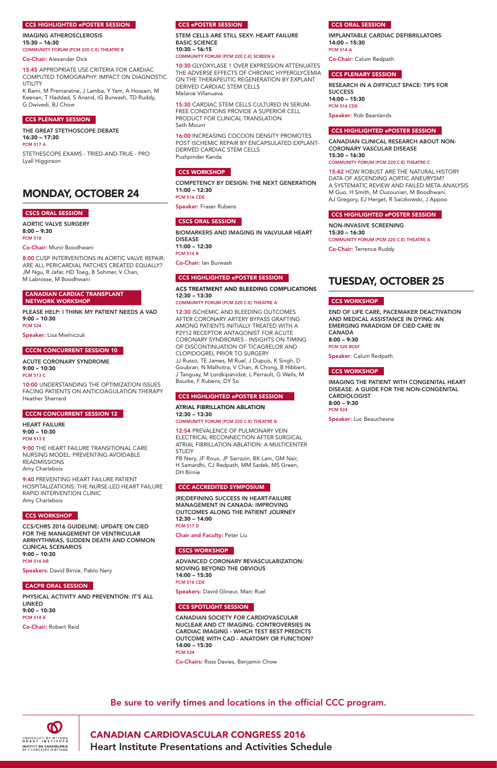$\boldsymbol{\omega}$ UNIVERSITY OF OTTAWA<br>HEART INSTITUTE INSTITUT DE CARDIOLOGIE<br>DE L'UNIVERSITÉ D'OTTAWA

## CANADIAN CARDIOVASCULAR CONGRESS 2016

Heart Institute Presentations and Activities Schedule

#### CCS HIGHLIGHTED ePOSTER SESSION

IMAGING ATHEROSCLEROSIS 15:30 – 16:30 COMMUNITY FORUM (PCM 220 C-E) THEATRE B

Co-Chair: Alexander Dick

15:45 APPROPRIATE USE CRITERIA FOR CARDIAC COMPUTED TOMOGRAPHY: IMPACT ON DIAGNOSTIC UTILITY

K Bami, M Premaratne, J Lamba, Y Yam, A Hossain, M Keenan, T Haddad, S Anand, IG Burwash, TD Ruddy, G Dwivedi, BJ Chow

#### CCS PLENARY SESSION

THE GREAT STETHOSCOPE DEBATE 16:30 – 17:30 PCM 517 A

STETHESCOPE EXAMS - TRIED-AND-TRUE - PRO Lyall Higginson

## MONDAY, OCTOBER 24

#### CSCS ORAL SESSION

AORTIC VALVE SURGERY 8:00 – 9:30 PCM 518

Co-Chair: Munir Boodhwani

8:00 CUSP INTERVENTIONS IN AORTIC VALVE REPAIR: ARE ALL PERICARDIAL PATCHES CREATED EQUALLY? JM Ngu, R Jafar, HD Toeg, B Sohmer, V Chan, M Labrosse, M Boodhwani

#### CANADIAN CARDIAC TRANSPLANT NETWORK WORKSHOP

PLEASE HELP: I THINK MY PATIENT NEEDS A VAD 9:00 – 10:30 PCM 524

Speaker: Lisa Mielniczuk

#### CCCN CONCURRENT SESSION 10

ACUTE CORONARY SYNDROME 9:00 – 10:30 PCM 513 C

10:00 UNDERSTANDING THE OPTIMIZATION ISSUES FACING PATIENTS ON ANTICOAGULATION THERAPY Heather Sherrard

#### CCCN CONCURRENT SESSION 12

HEART FAILURE 9:00 – 10:30 PCM 513 E

9:00 THE HEART FAILURE TRANSITIONAL CARE NURSING MODEL: PREVENTING AVOIDABLE READMISSIONS Amy Charlebois

9:40 PREVENTING HEART FAILURE PATIENT HOSPITALIZATIONS: THE NURSE-LED HEART FAILURE RAPID INTERVENTION CLINIC Amy Charlebois

#### CCS WORKSHOP

CCS/CHRS 2016 GUIDELINE: UPDATE ON CIED FOR THE MANAGEMENT OF VENTRICULAR ARRHYTHMIAS, SUDDEN DEATH AND COMMON CLINICAL SCENARIOS 9:00 – 10:30 PCM 516 AB

Speakers: David Birnie, Pablo Nery

#### CACPR ORAL SESSION

PHYSICAL ACTIVITY AND PREVENTION: IT'S ALL LINKED 9:00 – 10:30 PCM 514 A

Co-Chair: Robert Reid

#### CCS ePOSTER SESSION

STEM CELLS ARE STILL SEXY: HEART FAILURE BASIC SCIENCE 10:30 – 16:15

#### COMMUNITY FORUM (PCM 220 C-E) SCREEN 6

10:30 GLYOXYLASE 1 OVER EXPRESSION ATTENUATES THE ADVERSE EFFECTS OF CHRONIC HYPERGLYCEMIA ON THE THERAPEUTIC REGENERATION BY EXPLANT DERIVED CARDIAC STEM CELLS Melanie Villanueva

15:30 CARDIAC STEM CELLS CULTURED IN SERUM-FREE CONDITIONS PROVIDE A SUPERIOR CELL PRODUCT FOR CLINICAL TRANSLATION Seth Mount

16:00 INCREASING COCOON DENSITY PROMOTES POST ISCHEMIC REPAIR BY ENCAPSULATED EXPLANT-DERIVED CARDIAC STEM CELLS Pushpinder Kanda

#### CCS WORKSHOP

COMPETENCY BY DESIGN: THE NEXT GENERATION 11:00 – 12:30 PCM 516 CDE

Speaker: Fraser Rubens

#### CSCS ORAL SESSION

BIOMARKERS AND IMAGING IN VALVULAR HEART DISEASE 11:00 – 12:30 PCM 514 B

Co-Chair: Ian Burwash

#### CCS HIGHLIGHTED ePOSTER SESSION

### ACS TREATMENT AND BLEEDING COMPLICATIONS 12:30 – 13:30

COMMUNITY FORUM (PCM 220 C-E) THEATRE A

12:30 ISCHEMIC AND BLEEDING OUTCOMES AFTER CORONARY ARTERY BYPASS GRAFTING AMONG PATIENTS INITIALLY TREATED WITH A P2Y12 RECEPTOR ANTAGONIST FOR ACUTE CORONARY SYNDROMES - INSIGHTS ON TIMING OF DISCONTINUATION OF TICAGRELOR AND CLOPIDOGREL PRIOR TO SURGERY JJ Russo, TE James, M Ruel, J Dupuis, K Singh, D Goubran, N Malhotra, V Chan, A Chong, B Hibbert, J Tanguay, M Lordkipanidzé, L Perrault, G Wells, M Bourke, F Rubens, DY So

#### CCS HIGHLIGHTED ePOSTER SESSION

#### ATRIAL FIBRILLATION ABLATION 12:30 – 13:30

COMMUNITY FORUM (PCM 220 C-E) THEATRE B

12:54 PREVALENCE OF PULMONARY VEIN ELECTRICAL RECONNECTION AFTER SURGICAL ATRIAL FIBRILLATION ABLATION: A MULTICENTER STUDY

PB Nery, JF Roux, JF Sarrazin, BK Lam, GM Nair, H Samardhi, CJ Redpath, MM Sadek, MS Green, DH Birnie

#### CCC ACCREDITED SYMPOSIUM

(RE)DEFINING SUCCESS IN HEART-FAILURE MANAGEMENT IN CANADA: IMPROVING OUTCOMES ALONG THE PATIENT JOURNEY 12:30 – 14:00 PCM 517 D

Chair and Faculty: Peter Liu

#### CSCS WORKSHOP

ADVANCED CORONARY REVASCULARIZATION:

MOVING BEYOND THE OBVIOUS 14:00 – 15:30 PCM 516 CDE

Speakers: David Glineur, Marc Ruel

#### CCS SPOTLIGHT SESSION

CANADIAN SOCIETY FOR CARDIOVASCULAR NUCLEAR AND CT IMAGING: CONTROVERSIES IN CARDIAC IMAGING - WHICH TEST BEST PREDICTS OUTCOME WITH CAD - ANATOMY OR FUNCTION? 14:00 – 15:30 PCM 524

Co-Chairs: Ross Davies, Benjamin Chow

#### CCS ORAL SESSION

IMPLANTABLE CARDIAC DEFIBRILLATORS 14:00 – 15:30 PCM 514 A

Co-Chair: Calum Redpath

#### CCS PLENARY SESSION

RESEARCH IN A DIFFICULT SPACE: TIPS FOR **SUCCESS** 14:00 – 15:30 PCM 516 CDE

Speaker: Rob Beanlands

#### CCS HIGHLIGHTED ePOSTER SESSION

CANADIAN CLINICAL RESEARCH ABOUT NON-CORONARY VASCULAR DISEASE 15:30 – 16:30

COMMUNITY FORUM (PCM 220 C-E) THEATRE C

15:42 HOW ROBUST ARE THE NATURAL HISTORY DATA OF ASCENDING AORTIC ANEURYSM? A SYSTEMATIC REVIEW AND FAILED META-ANALYSIS M Guo, H Smith, M Ouzounian, M Boodhwani, AJ Gregory, EJ Herget, R Saczkowski, J Appoo

#### CCS HIGHLIGHTED ePOSTER SESSION

NON-INVASIVE SCREENING 15:30 – 16:30 COMMUNITY FORUM (PCM 220 C-E) THEATRE A

Co-Chair: Terrence Ruddy

## TUESDAY, OCTOBER 25

#### CCS WORKSHOP

END OF LIFE CARE, PACEMAKER DEACTIVATION AND MEDICAL ASSISTANCE IN DYING: AN EMERGING PARADIGM OF CIED CARE IN CANADA 8:00 – 9:30 PCM 520 BCEF

Speaker: Calum Redpath

#### CCS WORKSHOP

IMAGING THE PATIENT WITH CONGENITAL HEART DISEASE. A GUIDE FOR THE NON-CONGENITAL CARDIOLOGIST 8:00 – 9:30 PCM 524

Speaker: Luc Beauchesne